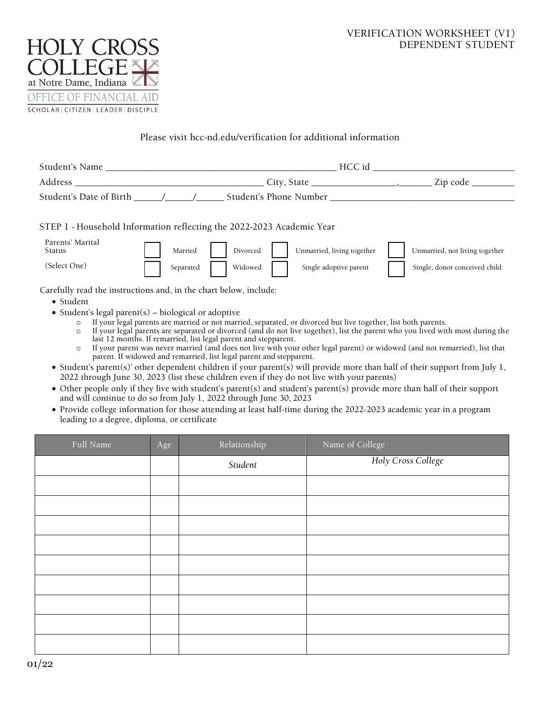# VERIFICATION WORKSHEET (V1) DEPENDENT STUDENT



## Please visit hcc-nd.edu/verification for additional information

| Student's Name                                                                                                                                                                                                                 | HCC id                                                                                                                                                                                                                                                                                                                                                                          |  |  |  |
|--------------------------------------------------------------------------------------------------------------------------------------------------------------------------------------------------------------------------------|---------------------------------------------------------------------------------------------------------------------------------------------------------------------------------------------------------------------------------------------------------------------------------------------------------------------------------------------------------------------------------|--|--|--|
| Address and the state of the state of the state of the state of the state of the state of the state of the state of the state of the state of the state of the state of the state of the state of the state of the state of th | . Zip code _<br>City, State $\_\_\_\_\_\_\_\_\_\_\_$                                                                                                                                                                                                                                                                                                                            |  |  |  |
| Student's Date of Birth (Student's Phone Number                                                                                                                                                                                |                                                                                                                                                                                                                                                                                                                                                                                 |  |  |  |
| STEP 1 - Household Information reflecting the 2022-2023 Academic Year                                                                                                                                                          |                                                                                                                                                                                                                                                                                                                                                                                 |  |  |  |
| Parents' Marital<br>Married<br>Divorced<br>Status                                                                                                                                                                              | Unmarried, living together<br>Unmarried, not living together                                                                                                                                                                                                                                                                                                                    |  |  |  |
| (Select One)<br>Widowed<br>Separated                                                                                                                                                                                           | Single, donor conceived child<br>Single adoptive parent                                                                                                                                                                                                                                                                                                                         |  |  |  |
| Carefully read the instructions and, in the chart below, include:                                                                                                                                                              |                                                                                                                                                                                                                                                                                                                                                                                 |  |  |  |
| $\bullet$ Student                                                                                                                                                                                                              |                                                                                                                                                                                                                                                                                                                                                                                 |  |  |  |
| • Student's legal parent(s) – biological or adoptive                                                                                                                                                                           |                                                                                                                                                                                                                                                                                                                                                                                 |  |  |  |
| $\circ$<br>$\circ$<br>last 12 months. If remarried, list legal parent and stepparent.<br>$\circ$<br>parent. If widowed and remarried, list legal parent and stepparent.                                                        | If your legal parents are married or not married, separated, or divorced but live together, list both parents.<br>If your legal parents are separated or divorced (and do not live together), list the parent who you lived with most during the<br>If your parent was never married (and does not live with your other legal parent) or widowed (and not remarried), list that |  |  |  |

- Student's parent(s)' other dependent children if your parent(s) will provide more than half of their support from July 1, 2022 through June 30, 2023 (list these children even if they do not live with your parents)
- Other people only if they live with student's parent(s) and student's parent(s) provide more than half of their support and will continue to do so from July 1, 2022 through June 30, 2023
- Provide college information for those attending at least half-time during the 2022-2023 academic year in a program leading to a degree, diploma, or certificate

| Full Name | Age | Relationship | Name of College    |
|-----------|-----|--------------|--------------------|
|           |     | Student      | Holy Cross College |
|           |     |              |                    |
|           |     |              |                    |
|           |     |              |                    |
|           |     |              |                    |
|           |     |              |                    |
|           |     |              |                    |
|           |     |              |                    |
|           |     |              |                    |
|           |     |              |                    |